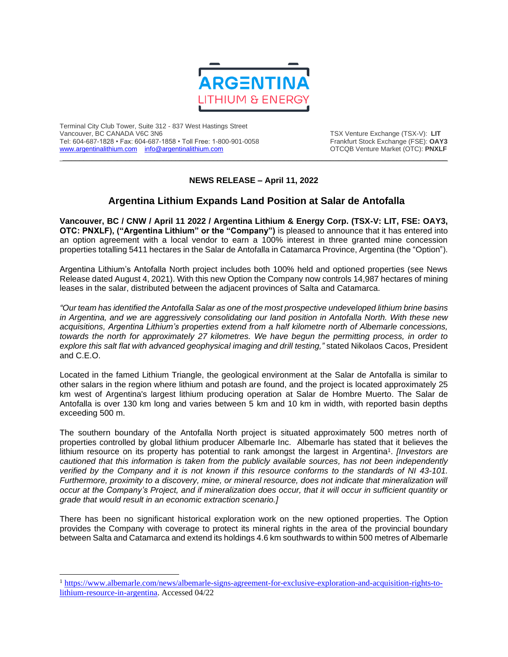

Terminal City Club Tower, Suite 312 - 837 West Hastings Street Tel: 604-687-1828 • Fax: 604-687-1858 • Toll Free: 1-800-901-0058 Frankfurt Stock Exchange (FSE): **OAY3**<br>https://www.argentinalithium.com info@argentinalithium.com into the source of the STCQB Venture Market (OTC): PNXLF [www.argentinalithium.com](http://www.argentinalithium.com/) [info@argentinalithium.com](mailto:info@argentinalithium.com)

TSX Venture Exchange (TSX-V): LIT<br>Frankfurt Stock Exchange (FSE): OAY3

## **NEWS RELEASE – April 11, 2022**

 $\_$  , and the state of the state of the state of the state of the state of the state of the state of the state of the state of the state of the state of the state of the state of the state of the state of the state of the

# **Argentina Lithium Expands Land Position at Salar de Antofalla**

**Vancouver, BC / CNW / April 11 2022 / Argentina Lithium & Energy Corp. (TSX-V: LIT, FSE: OAY3, OTC: PNXLF), ("Argentina Lithium" or the "Company")** is pleased to announce that it has entered into an option agreement with a local vendor to earn a 100% interest in three granted mine concession properties totalling 5411 hectares in the Salar de Antofalla in Catamarca Province, Argentina (the "Option").

Argentina Lithium's Antofalla North project includes both 100% held and optioned properties (see News Release dated August 4, 2021). With this new Option the Company now controls 14,987 hectares of mining leases in the salar, distributed between the adjacent provinces of Salta and Catamarca.

*"Our team has identified the Antofalla Salar as one of the most prospective undeveloped lithium brine basins in Argentina, and we are aggressively consolidating our land position in Antofalla North. With these new acquisitions, Argentina Lithium's properties extend from a half kilometre north of Albemarle concessions, towards the north for approximately 27 kilometres. We have begun the permitting process, in order to explore this salt flat with advanced geophysical imaging and drill testing,"* stated Nikolaos Cacos, President and C.E.O.

Located in the famed Lithium Triangle, the geological environment at the Salar de Antofalla is similar to other salars in the region where lithium and potash are found, and the project is located approximately 25 km west of Argentina's largest lithium producing operation at Salar de Hombre Muerto. The Salar de Antofalla is over 130 km long and varies between 5 km and 10 km in width, with reported basin depths exceeding 500 m.

The southern boundary of the Antofalla North project is situated approximately 500 metres north of properties controlled by global lithium producer Albemarle Inc. Albemarle has stated that it believes the lithium resource on its property has potential to rank amongst the largest in Argentina<sup>1</sup>. [Investors are *cautioned that this information is taken from the publicly available sources, has not been independently verified by the Company and it is not known if this resource conforms to the standards of NI 43-101. Furthermore, proximity to a discovery, mine, or mineral resource, does not indicate that mineralization will occur at the Company's Project, and if mineralization does occur, that it will occur in sufficient quantity or grade that would result in an economic extraction scenario.]*

There has been no significant historical exploration work on the new optioned properties. The Option provides the Company with coverage to protect its mineral rights in the area of the provincial boundary between Salta and Catamarca and extend its holdings 4.6 km southwards to within 500 metres of Albemarle

<sup>&</sup>lt;sup>1</sup> [https://www.albemarle.com/news/albemarle-signs-agreement-for-exclusive-exploration-and-acquisition-rights-to](https://www.albemarle.com/news/albemarle-signs-agreement-for-exclusive-exploration-and-acquisition-rights-to-lithium-resource-in-argentina)[lithium-resource-in-argentina.](https://www.albemarle.com/news/albemarle-signs-agreement-for-exclusive-exploration-and-acquisition-rights-to-lithium-resource-in-argentina) Accessed 04/22